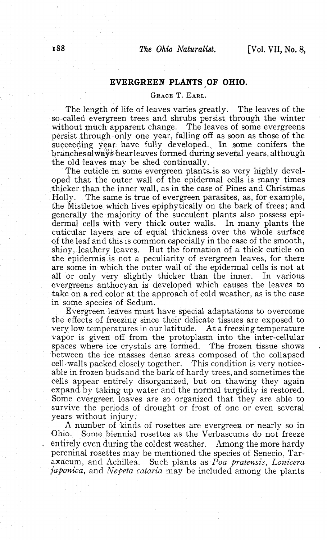## **EVERGREEN PLANTS OF OHIO.**

## GRACE T. EARL.

The length of life of leaves varies greatly. The leaves of the so-called evergreen trees and shrubs persist through the winter without much apparent change. The leaves of some evergreens persist through only one year, falling off as soon as those of the succeeding year have fully developed., In some conifers the branches always bear leaves formed during: several years, although the old leaves may be shed continually.

The cuticle in some evergreen plants is so very highly developed that the outer wall of the epidermal cells is many times thicker than the inner wall, as in the case of Pines and Christmas Holly. The same is true of evergreen parasites, as, for example, the Mistletoe which lives epiphytically on the bark of trees; and generally the majority of the succulent plants also possess epidermal cells with very thick outer walls. In many plants the cuticular layers are of equal thickness over the whole surface of the leaf and this is common especially in the case of the smooth, shiny, leathery leaves. But the formation of a thick cuticle on the epidermis is not a peculiarity of evergreen leaves, for there are some in which the outer wall of the epidermal cells is not at all or only very slightly thicker than the inner. In various evergreens anthocyan is developed which causes the leaves to take on a red color at the approach of cold weather, as is the case in some species of Sedum.

Evergreen leaves must have special adaptations to overcome the effects of freezing since their delicate tissues are exposed to very low temperatures in our latitude. At a freezing temperature vapor is given off from the protoplasm into the inter-cellular spaces where ice crystals are formed. The frozen tissue shows between the ice masses dense areas composed of the collapsed cell-walls packed closely together. This condition is very noticeable in frozen buds and the bark of hardy trees, and sometimes the cells appear entirely disorganized, but on thawing they again expand by taking up water and the normal turgidity is restored. Some evergreen leaves are so organized that they are able to survive the periods of drought or frost of one or even several years without injury.

A number of kinds of rosettes are evergreen or nearly so in Ohio. Some biennial rosettes as the Verbascums do not freeze entirely even during the coldest weather. Among the more hardy pereninal rosettes may be mentioned the species of Senecio, Taraxacum, and Achillea. Such plants as *Poa pratensis, Lonicera japonica,* and *Nepeta cataria* may be included among the plants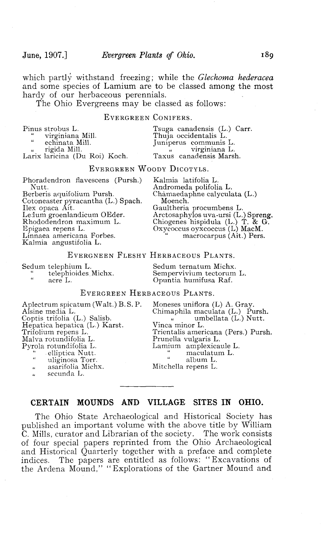which partly withstand freezing; while the *Glechoma hederacea* and some species of Lamium are to be classed among the most hardy of our herbaceous perennials.

The Ohio Evergreens may be classed as follows:

## EVERGREEN CONIFERS.

| Pinus strobus L.              | Tsuga canadensis (L.) Carr. |
|-------------------------------|-----------------------------|
| " virginiana Mill.            | Thuja occidentalis L.       |
| " echinata Mill.              | Juniperus communis L.       |
| rigida Mill.                  | virginiana L.               |
| Larix laricina (Du Roi) Koch. | Taxus canadensis Marsh.     |
|                               |                             |

## EVERGREEN WOODY DICOTYLS.

Phoradendron flavescens (Pursh.) Kalmia latifolia L.

Cotoneaster pyracantha (L.) Spach.<br>Ilex opaca Ait.

Linnaea americana Forbes.

Kalmia angustifolia L.

Nutt. Andromeda polifolia L. Chamaedaphne calyculata (L.)<br>Moench. Ilex opaca Ait. Gaultheria procumbens L.<br>Ledum groenlandicum OEder. Arctosaphylos uva-ursi (L.)Spreng. Rhododendron maximum L. Chiogenes hispidula (L.) T. & G. Rhododendron maximum L.<br>
Epigaea repens L.<br>
Linnaea americana Forbes.<br>
Linnaea americana Forbes.<br>
"macrocarpus (Ait.) Pers.

#### EVERGNEEN FLESHY HERBACEOUS PLANTS.

Sedum telephium L.<br>
edum ternatum Michx.<br>
Sempervivium tectorum<br>
Sempervivium tectorum " telephioides Michx. Sempervivium tectorum L. " acre L. Opuntia humifusa Raf.

# EVERGREEN HERBACEOUS PLANTS.

Aplectrum spicatum (Walt.) B.S. P. Moneses uniflora (L) A. Gray.<br>Alsine media L. (Walt.) Chimaphila maculata (L.) Pu Hepatica hepatica (L.) Karst. Vinca minor L. Malva rotundifolia L. Prunella vulgaris L. " . elliptica Nutt. " maculatum L. " uliginosa Torr. " album L. 11 asarifolia Michx. Mitchella repens L. secunda L.

Alsine media L.<br>Coptis trifolia (L.) Salisb. (Coptis trifolia (L.) Nutt. Trifolium repens L. Trientalis americana (Pers.) Pursh. Lamium amplexicaule L.<br>"maculatum L.

## **CERTAIN MOUNDS AND VILLAGE SITES IN OHIO.**

The Ohio State Archaeological and Historical Society has published an important volume with the above title by William C. Mills, curator and Librarian of the society. The work consists of four special papers reprinted from the Ohio Archaeological and Historical Quarterly together with a preface and complete indices. The papers are entitled as follows: "Excavations of the Ardena Mound," "Explorations of the Gartner Mound and